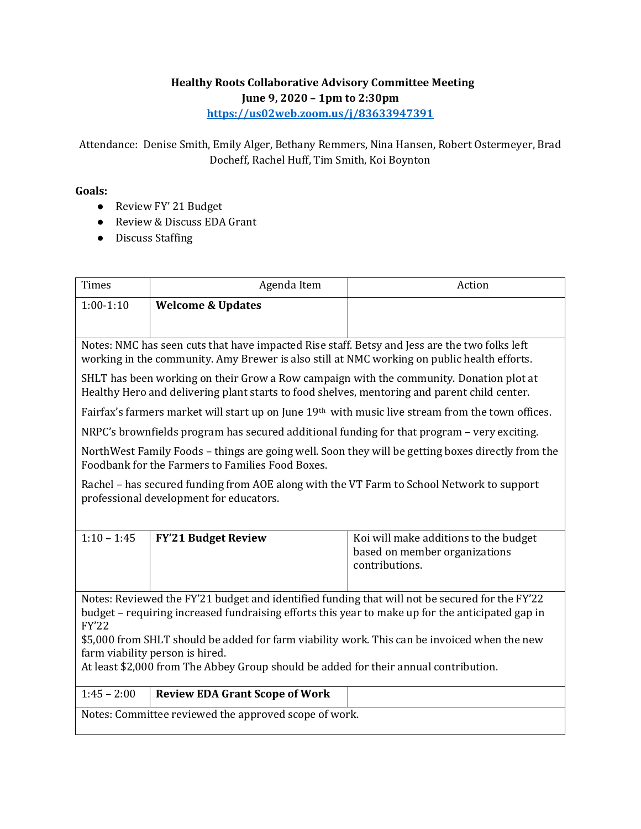## **Healthy Roots Collaborative Advisory Committee Meeting June 9, 2020 – 1pm to 2:30pm <https://us02web.zoom.us/j/83633947391>**

Attendance: Denise Smith, Emily Alger, Bethany Remmers, Nina Hansen, Robert Ostermeyer, Brad Docheff, Rachel Huff, Tim Smith, Koi Boynton

## **Goals:**

- Review FY' 21 Budget
- Review & Discuss EDA Grant
- Discuss Staffing

| <b>Times</b>                                                                                                                                                                                 | Agenda Item                           | Action                                                                                   |  |
|----------------------------------------------------------------------------------------------------------------------------------------------------------------------------------------------|---------------------------------------|------------------------------------------------------------------------------------------|--|
| $1:00-1:10$                                                                                                                                                                                  | <b>Welcome &amp; Updates</b>          |                                                                                          |  |
|                                                                                                                                                                                              |                                       |                                                                                          |  |
| Notes: NMC has seen cuts that have impacted Rise staff. Betsy and Jess are the two folks left<br>working in the community. Amy Brewer is also still at NMC working on public health efforts. |                                       |                                                                                          |  |
| SHLT has been working on their Grow a Row campaign with the community. Donation plot at<br>Healthy Hero and delivering plant starts to food shelves, mentoring and parent child center.      |                                       |                                                                                          |  |
| Fairfax's farmers market will start up on June 19 <sup>th</sup> with music live stream from the town offices.                                                                                |                                       |                                                                                          |  |
| NRPC's brownfields program has secured additional funding for that program – very exciting.                                                                                                  |                                       |                                                                                          |  |
| NorthWest Family Foods – things are going well. Soon they will be getting boxes directly from the<br>Foodbank for the Farmers to Families Food Boxes.                                        |                                       |                                                                                          |  |
| Rachel - has secured funding from AOE along with the VT Farm to School Network to support<br>professional development for educators.                                                         |                                       |                                                                                          |  |
|                                                                                                                                                                                              |                                       |                                                                                          |  |
| $1:10 - 1:45$                                                                                                                                                                                | <b>FY'21 Budget Review</b>            | Koi will make additions to the budget<br>based on member organizations<br>contributions. |  |
| Notes: Reviewed the FY'21 budget and identified funding that will not be secured for the FY'22                                                                                               |                                       |                                                                                          |  |
| budget – requiring increased fundraising efforts this year to make up for the anticipated gap in<br><b>FY'22</b>                                                                             |                                       |                                                                                          |  |
| \$5,000 from SHLT should be added for farm viability work. This can be invoiced when the new                                                                                                 |                                       |                                                                                          |  |
| farm viability person is hired.                                                                                                                                                              |                                       |                                                                                          |  |
| At least \$2,000 from The Abbey Group should be added for their annual contribution.                                                                                                         |                                       |                                                                                          |  |
| $1:45 - 2:00$                                                                                                                                                                                | <b>Review EDA Grant Scope of Work</b> |                                                                                          |  |
| Notes: Committee reviewed the approved scope of work.                                                                                                                                        |                                       |                                                                                          |  |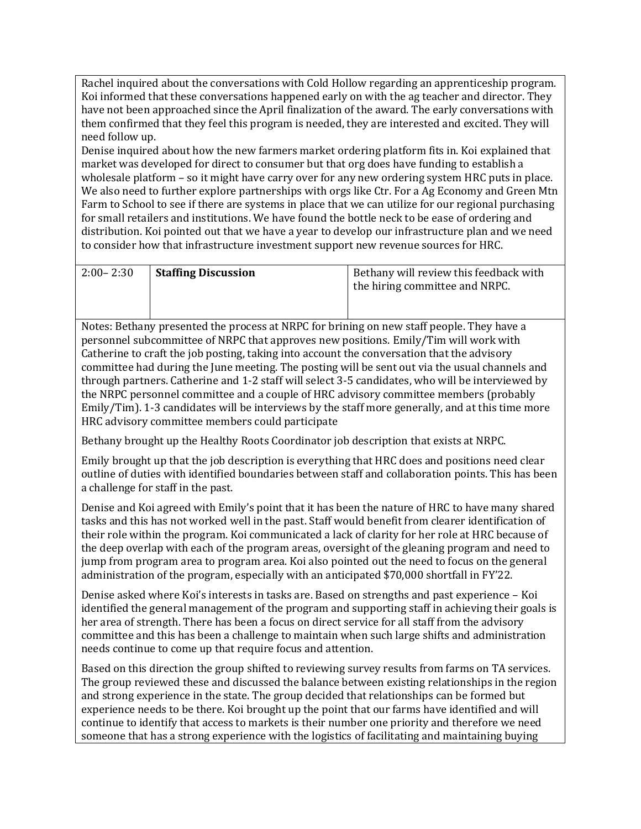Rachel inquired about the conversations with Cold Hollow regarding an apprenticeship program. Koi informed that these conversations happened early on with the ag teacher and director. They have not been approached since the April finalization of the award. The early conversations with them confirmed that they feel this program is needed, they are interested and excited. They will need follow up.

Denise inquired about how the new farmers market ordering platform fits in. Koi explained that market was developed for direct to consumer but that org does have funding to establish a wholesale platform – so it might have carry over for any new ordering system HRC puts in place. We also need to further explore partnerships with orgs like Ctr. For a Ag Economy and Green Mtn Farm to School to see if there are systems in place that we can utilize for our regional purchasing for small retailers and institutions. We have found the bottle neck to be ease of ordering and distribution. Koi pointed out that we have a year to develop our infrastructure plan and we need to consider how that infrastructure investment support new revenue sources for HRC.

| $2:00 - 2:30$ | <b>Staffing Discussion</b> | Bethany will review this feedback with<br>the hiring committee and NRPC. |
|---------------|----------------------------|--------------------------------------------------------------------------|
|               |                            |                                                                          |

Notes: Bethany presented the process at NRPC for brining on new staff people. They have a personnel subcommittee of NRPC that approves new positions. Emily/Tim will work with Catherine to craft the job posting, taking into account the conversation that the advisory committee had during the June meeting. The posting will be sent out via the usual channels and through partners. Catherine and 1-2 staff will select 3-5 candidates, who will be interviewed by the NRPC personnel committee and a couple of HRC advisory committee members (probably Emily/Tim). 1-3 candidates will be interviews by the staff more generally, and at this time more HRC advisory committee members could participate

Bethany brought up the Healthy Roots Coordinator job description that exists at NRPC.

Emily brought up that the job description is everything that HRC does and positions need clear outline of duties with identified boundaries between staff and collaboration points. This has been a challenge for staff in the past.

Denise and Koi agreed with Emily's point that it has been the nature of HRC to have many shared tasks and this has not worked well in the past. Staff would benefit from clearer identification of their role within the program. Koi communicated a lack of clarity for her role at HRC because of the deep overlap with each of the program areas, oversight of the gleaning program and need to jump from program area to program area. Koi also pointed out the need to focus on the general administration of the program, especially with an anticipated \$70,000 shortfall in FY'22.

Denise asked where Koi's interests in tasks are. Based on strengths and past experience – Koi identified the general management of the program and supporting staff in achieving their goals is her area of strength. There has been a focus on direct service for all staff from the advisory committee and this has been a challenge to maintain when such large shifts and administration needs continue to come up that require focus and attention.

Based on this direction the group shifted to reviewing survey results from farms on TA services. The group reviewed these and discussed the balance between existing relationships in the region and strong experience in the state. The group decided that relationships can be formed but experience needs to be there. Koi brought up the point that our farms have identified and will continue to identify that access to markets is their number one priority and therefore we need someone that has a strong experience with the logistics of facilitating and maintaining buying